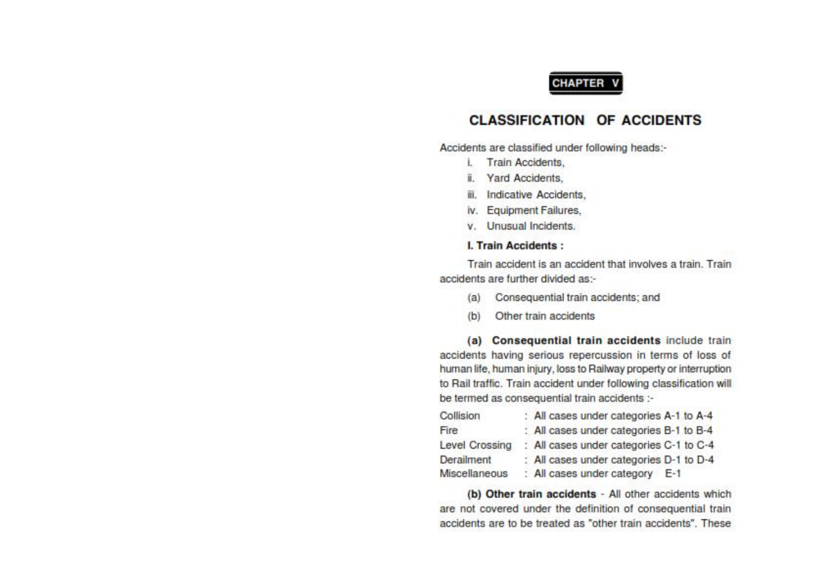#### **CHAPTER**

#### **CLASSIFICATION OF ACCIDENTS**

Accidents are classified under following heads:-

- **Train Accidents.** ĩ.
- **Yard Accidents.** Ï.
- iii. Indicative Accidents.
- iv. Equipment Failures.
- v. Unusual Incidents.

#### **L. Train Accidents:**

Train accident is an accident that involves a train. Train accidents are further divided as:-

- Consequential train accidents; and  $(a)$
- (b) Other train accidents

(a) Consequential train accidents include train accidents having serious repercussion in terms of loss of human life, human injury, loss to Railway property or interruption to Rail traffic. Train accident under following classification will be termed as consequential train accidents :-

| Collision      | : All cases under categories A-1 to A-4 |
|----------------|-----------------------------------------|
| Fire           | : All cases under categories B-1 to B-4 |
| Level Crossing | All cases under categories C-1 to C-4   |
| Derailment     | : All cases under categories D-1 to D-4 |
| Miscellaneous  | : All cases under category E-1          |

(b) Other train accidents - All other accidents which are not covered under the definition of consequential train accidents are to be treated as "other train accidents". These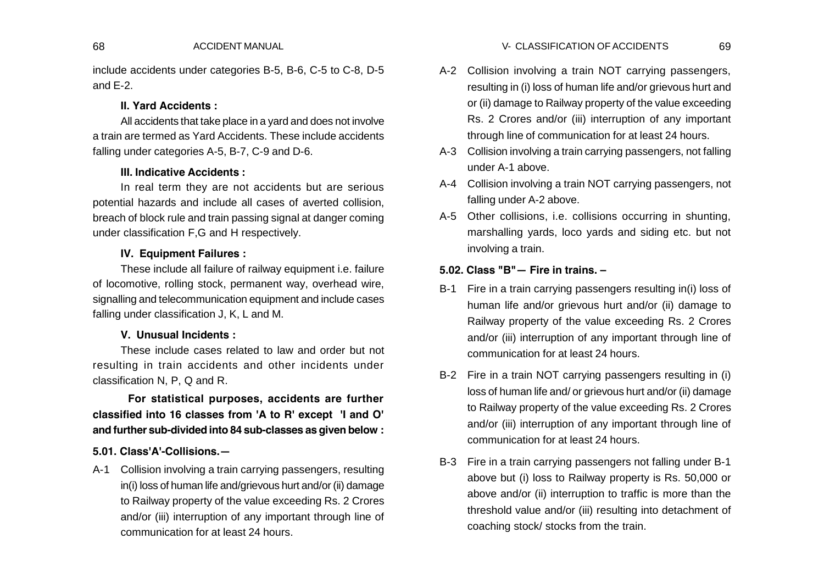include accidents under categories B-5, B-6, C-5 to C-8, D-5 and E-2.

#### **II. Yard Accidents :**

All accidents that take place in a yard and does not involve a train are termed as Yard Accidents. These include accidents falling under categories A-5, B-7, C-9 and D-6.

### **III. Indicative Accidents :**

In real term they are not accidents but are serious potential hazards and include all cases of averted collision, breach of block rule and train passing signal at danger coming under classification F,G and H respectively.

### **IV. Equipment Failures :**

These include all failure of railway equipment i.e. failure of locomotive, rolling stock, permanent way, overhead wire, signalling and telecommunication equipment and include cases falling under classification J, K, L and M.

#### **V. Unusual Incidents :**

These include cases related to law and order but not resulting in train accidents and other incidents under classification N, P, Q and R.

**For statistical purposes, accidents are further classified into 16 classes from 'A to R' except 'I and O' and further sub-divided into 84 sub-classes as given below :**

#### **5.01. Class'A'-Collisions.—**

A-1 Collision involving a train carrying passengers, resulting in(i) loss of human life and/grievous hurt and/or (ii) damage to Railway property of the value exceeding Rs. 2 Crores and/or (iii) interruption of any important through line of communication for at least 24 hours.

- A-2 Collision involving a train NOT carrying passengers, resulting in (i) loss of human life and/or grievous hurt and or (ii) damage to Railway property of the value exceeding Rs. 2 Crores and/or (iii) interruption of any important through line of communication for at least 24 hours.
- A-3 Collision involving a train carrying passengers, not falling under A-1 above.
- A-4 Collision involving a train NOT carrying passengers, not falling under A-2 above.
- A-5 Other collisions, i.e. collisions occurring in shunting, marshalling yards, loco yards and siding etc. but not involving a train.

#### **5.02. Class "B"— Fire in trains. –**

- B-1 Fire in a train carrying passengers resulting in(i) loss of human life and/or grievous hurt and/or (ii) damage to Railway property of the value exceeding Rs. 2 Crores and/or (iii) interruption of any important through line of communication for at least 24 hours.
- B-2 Fire in a train NOT carrying passengers resulting in (i) loss of human life and/ or grievous hurt and/or (ii) damage to Railway property of the value exceeding Rs. 2 Crores and/or (iii) interruption of any important through line of communication for at least 24 hours.
- B-3 Fire in a train carrying passengers not falling under B-1 above but (i) loss to Railway property is Rs. 50,000 or above and/or (ii) interruption to traffic is more than the threshold value and/or (iii) resulting into detachment of coaching stock/ stocks from the train.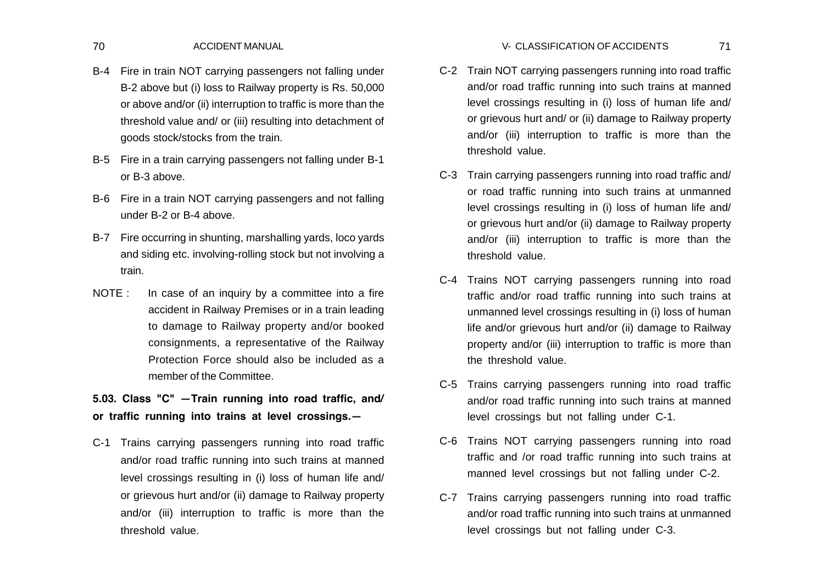- B-4 Fire in train NOT carrying passengers not falling under B-2 above but (i) loss to Railway property is Rs. 50,000 or above and/or (ii) interruption to traffic is more than the threshold value and/ or (iii) resulting into detachment of goods stock/stocks from the train.
- B-5 Fire in a train carrying passengers not falling under B-1 or B-3 above.
- B-6 Fire in a train NOT carrying passengers and not falling under B-2 or B-4 above.
- B-7 Fire occurring in shunting, marshalling yards, loco yards and siding etc. involving-rolling stock but not involving a train.
- NOTE : In case of an inquiry by a committee into a fire accident in Railway Premises or in a train leading to damage to Railway property and/or booked consignments, a representative of the Railway Protection Force should also be included as a member of the Committee.
- **5.03. Class "C" —Train running into road traffic, and/ or traffic running into trains at level crossings.—**
- C-1 Trains carrying passengers running into road traffic and/or road traffic running into such trains at manned level crossings resulting in (i) loss of human life and/ or grievous hurt and/or (ii) damage to Railway property and/or (iii) interruption to traffic is more than the threshold value.
- C-2 Train NOT carrying passengers running into road traffic and/or road traffic running into such trains at manned level crossings resulting in (i) loss of human life and/ or grievous hurt and/ or (ii) damage to Railway property and/or (iii) interruption to traffic is more than the threshold value.
- C-3 Train carrying passengers running into road traffic and/ or road traffic running into such trains at unmanned level crossings resulting in (i) loss of human life and/ or grievous hurt and/or (ii) damage to Railway property and/or (iii) interruption to traffic is more than the threshold value.
- C-4 Trains NOT carrying passengers running into road traffic and/or road traffic running into such trains at unmanned level crossings resulting in (i) loss of human life and/or grievous hurt and/or (ii) damage to Railway property and/or (iii) interruption to traffic is more than the threshold value.
- C-5 Trains carrying passengers running into road traffic and/or road traffic running into such trains at manned level crossings but not falling under C-1.
- C-6 Trains NOT carrying passengers running into road traffic and /or road traffic running into such trains at manned level crossings but not falling under C-2.
- C-7 Trains carrying passengers running into road traffic and/or road traffic running into such trains at unmanned level crossings but not falling under C-3.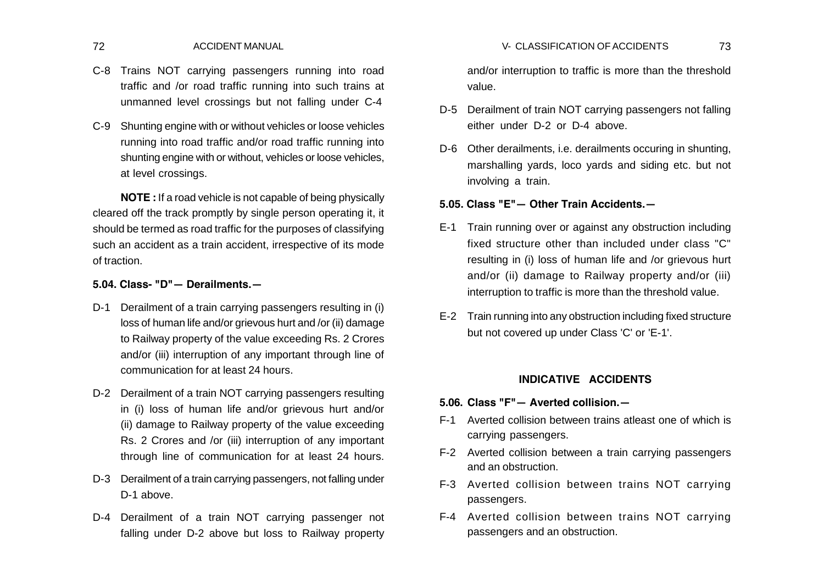- C-8 Trains NOT carrying passengers running into road traffic and /or road traffic running into such trains at unmanned level crossings but not falling under C-4
- C-9 Shunting engine with or without vehicles or loose vehicles running into road traffic and/or road traffic running into shunting engine with or without, vehicles or loose vehicles, at level crossings.

**NOTE :** If a road vehicle is not capable of being physically cleared off the track promptly by single person operating it, it should be termed as road traffic for the purposes of classifying such an accident as a train accident, irrespective of its mode of traction.

#### **5.04. Class- "D"— Derailments.—**

- D-1 Derailment of a train carrying passengers resulting in (i) loss of human life and/or grievous hurt and /or (ii) damage to Railway property of the value exceeding Rs. 2 Crores and/or (iii) interruption of any important through line of communication for at least 24 hours.
- D-2 Derailment of a train NOT carrying passengers resulting in (i) loss of human life and/or grievous hurt and/or (ii) damage to Railway property of the value exceeding Rs. 2 Crores and /or (iii) interruption of any important through line of communication for at least 24 hours.
- D-3 Derailment of a train carrying passengers, not falling under D-1 above.
- D-4 Derailment of a train NOT carrying passenger not falling under D-2 above but loss to Railway property

and/or interruption to traffic is more than the threshold value.

- D-5 Derailment of train NOT carrying passengers not falling either under D-2 or D-4 above.
- D-6 Other derailments, i.e. derailments occuring in shunting, marshalling yards, loco yards and siding etc. but not involving a train.

#### **5.05. Class "E"— Other Train Accidents.—**

- E-1 Train running over or against any obstruction including fixed structure other than included under class "C" resulting in (i) loss of human life and /or grievous hurt and/or (ii) damage to Railway property and/or (iii) interruption to traffic is more than the threshold value.
- E-2 Train running into any obstruction including fixed structure but not covered up under Class 'C' or 'E-1'.

#### **INDICATIVE ACCIDENTS**

- **5.06. Class "F"— Averted collision.—**
- F-1 Averted collision between trains atleast one of which is carrying passengers.
- F-2 Averted collision between a train carrying passengers and an obstruction.
- F-3 Averted collision between trains NOT carrying passengers.
- F-4 Averted collision between trains NOT carrying passengers and an obstruction.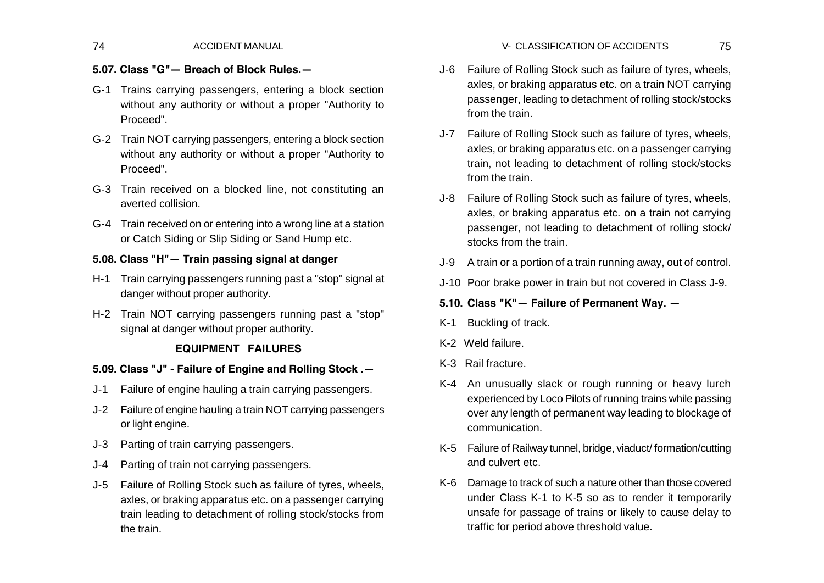# **5.07. Class "G"— Breach of Block Rules.—**

- G-1 Trains carrying passengers, entering a block section without any authority or without a proper "Authority to Proceed".
- G-2 Train NOT carrying passengers, entering a block section without any authority or without a proper "Authority to Proceed".
- G-3 Train received on a blocked line, not constituting an averted collision.
- G-4 Train received on or entering into a wrong line at a station or Catch Siding or Slip Siding or Sand Hump etc.

## **5.08. Class "H"— Train passing signal at danger**

- H-1 Train carrying passengers running past a "stop" signal at danger without proper authority.
- H-2 Train NOT carrying passengers running past a "stop" signal at danger without proper authority.

## **EQUIPMENT FAILURES**

## **5.09. Class "J" - Failure of Engine and Rolling Stock .—**

- J-1 Failure of engine hauling a train carrying passengers.
- J-2 Failure of engine hauling a train NOT carrying passengers or light engine.
- J-3 Parting of train carrying passengers.
- J-4 Parting of train not carrying passengers.
- J-5 Failure of Rolling Stock such as failure of tyres, wheels, axles, or braking apparatus etc. on a passenger carrying train leading to detachment of rolling stock/stocks from the train.
- J-6 Failure of Rolling Stock such as failure of tyres, wheels, axles, or braking apparatus etc. on a train NOT carrying passenger, leading to detachment of rolling stock/stocks from the train.
- J-7 Failure of Rolling Stock such as failure of tyres, wheels, axles, or braking apparatus etc. on a passenger carrying train, not leading to detachment of rolling stock/stocks from the train.
- J-8 Failure of Rolling Stock such as failure of tyres, wheels, axles, or braking apparatus etc. on a train not carrying passenger, not leading to detachment of rolling stock/ stocks from the train
- J-9 A train or a portion of a train running away, out of control.
- J-10 Poor brake power in train but not covered in Class J-9.

## **5.10. Class "K"— Failure of Permanent Way. —**

- K-1 Buckling of track.
- K-2 Weld failure.
- K-3 Rail fracture.
- K-4 An unusually slack or rough running or heavy lurch experienced by Loco Pilots of running trains while passing over any length of permanent way leading to blockage of communication.
- K-5 Failure of Railway tunnel, bridge, viaduct/ formation/cutting and culvert etc.
- K-6 Damage to track of such a nature other than those covered under Class K-1 to K-5 so as to render it temporarily unsafe for passage of trains or likely to cause delay to traffic for period above threshold value.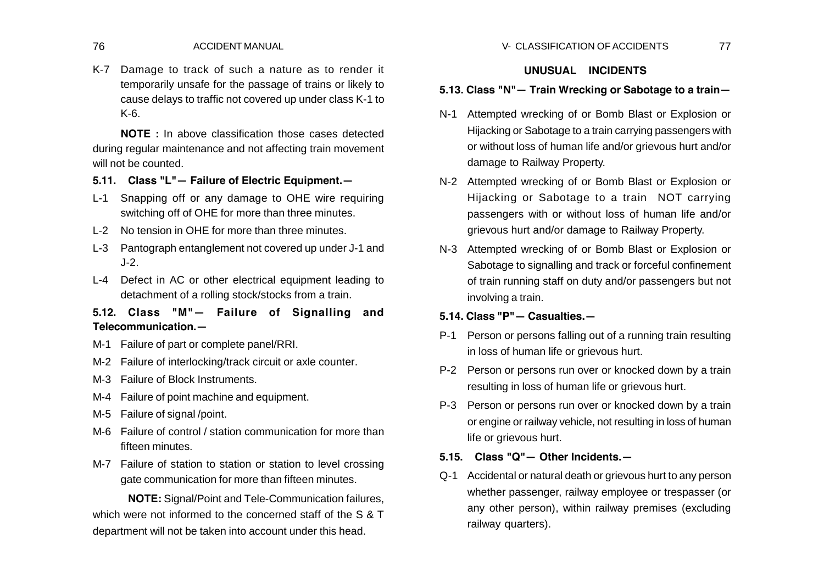K-7 Damage to track of such a nature as to render it temporarily unsafe for the passage of trains or likely to cause delays to traffic not covered up under class K-1 to K-6.

**NOTE :** In above classification those cases detected during regular maintenance and not affecting train movement will not be counted.

- **5.11. Class "L"— Failure of Electric Equipment.—**
- L-1 Snapping off or any damage to OHE wire requiring switching off of OHE for more than three minutes.
- L-2 No tension in OHE for more than three minutes.
- L-3 Pantograph entanglement not covered up under J-1 and J-2.
- L-4 Defect in AC or other electrical equipment leading to detachment of a rolling stock/stocks from a train.
- **5.12. Class "M"— Failure of Signalling and Telecommunication.—**
- M-1 Failure of part or complete panel/RRI.
- M-2 Failure of interlocking/track circuit or axle counter.
- M-3 Failure of Block Instruments.
- M-4 Failure of point machine and equipment.
- M-5 Failure of signal /point.
- M-6 Failure of control / station communication for more than fifteen minutes.
- M-7 Failure of station to station or station to level crossing gate communication for more than fifteen minutes.

**NOTE:** Signal/Point and Tele-Communication failures, which were not informed to the concerned staff of the S & T department will not be taken into account under this head.

### **UNUSUAL INCIDENTS**

#### **5.13. Class "N"— Train Wrecking or Sabotage to a train—**

- N-1 Attempted wrecking of or Bomb Blast or Explosion or Hijacking or Sabotage to a train carrying passengers with or without loss of human life and/or grievous hurt and/or damage to Railway Property.
- N-2 Attempted wrecking of or Bomb Blast or Explosion or Hijacking or Sabotage to a train NOT carrying passengers with or without loss of human life and/or grievous hurt and/or damage to Railway Property.
- N-3 Attempted wrecking of or Bomb Blast or Explosion or Sabotage to signalling and track or forceful confinement of train running staff on duty and/or passengers but not involving a train.

## **5.14. Class "P"— Casualties.—**

- P-1 Person or persons falling out of a running train resulting in loss of human life or grievous hurt.
- P-2 Person or persons run over or knocked down by a train resulting in loss of human life or grievous hurt.
- P-3 Person or persons run over or knocked down by a train or engine or railway vehicle, not resulting in loss of human life or grievous hurt.

### **5.15. Class "Q"— Other Incidents.—**

Q-1 Accidental or natural death or grievous hurt to any person whether passenger, railway employee or trespasser (or any other person), within railway premises (excluding railway quarters).